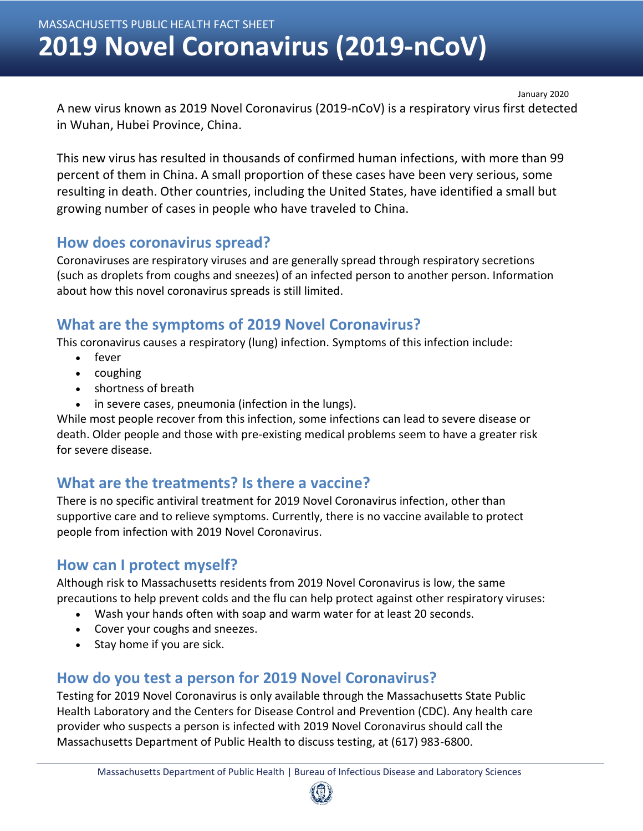MASSACHUSETTS PUBLIC HEALTH FACT SHEET

**January 2020**

# **2019 Novel Coronavirus (2019-nCoV)**

January 2020

A new virus known as 2019 Novel Coronavirus (2019-nCoV) is a respiratory virus first detected in Wuhan, Hubei Province, China.

This new virus has resulted in thousands of confirmed human infections, with more than 99 percent of them in China. A small proportion of these cases have been very serious, some resulting in death. Other countries, including the United States, have identified a small but growing number of cases in people who have traveled to China.

#### **How does coronavirus spread?**

Coronaviruses are respiratory viruses and are generally spread through respiratory secretions (such as droplets from coughs and sneezes) of an infected person to another person. Information about how this novel coronavirus spreads is still limited.

### **What are the symptoms of 2019 Novel Coronavirus?**

This coronavirus causes a respiratory (lung) infection. Symptoms of this infection include:

- fever
- coughing
- shortness of breath
- in severe cases, pneumonia (infection in the lungs).

While most people recover from this infection, some infections can lead to severe disease or death. Older people and those with pre-existing medical problems seem to have a greater risk for severe disease.

# **What are the treatments? Is there a vaccine?**

There is no specific antiviral treatment for 2019 Novel Coronavirus infection, other than supportive care and to relieve symptoms. Currently, there is no vaccine available to protect people from infection with 2019 Novel Coronavirus.

#### **How can I protect myself?**

Although risk to Massachusetts residents from 2019 Novel Coronavirus is low, the same precautions to help prevent colds and the flu can help protect against other respiratory viruses:

- Wash your hands often with soap and warm water for at least 20 seconds.
- Cover your coughs and sneezes.
- Stay home if you are sick.

# **How do you test a person for 2019 Novel Coronavirus?**

Testing for 2019 Novel Coronavirus is only available through the Massachusetts State Public Health Laboratory and the Centers for Disease Control and Prevention (CDC). Any health care provider who suspects a person is infected with 2019 Novel Coronavirus should call the Massachusetts Department of Public Health to discuss testing, at (617) 983-6800.